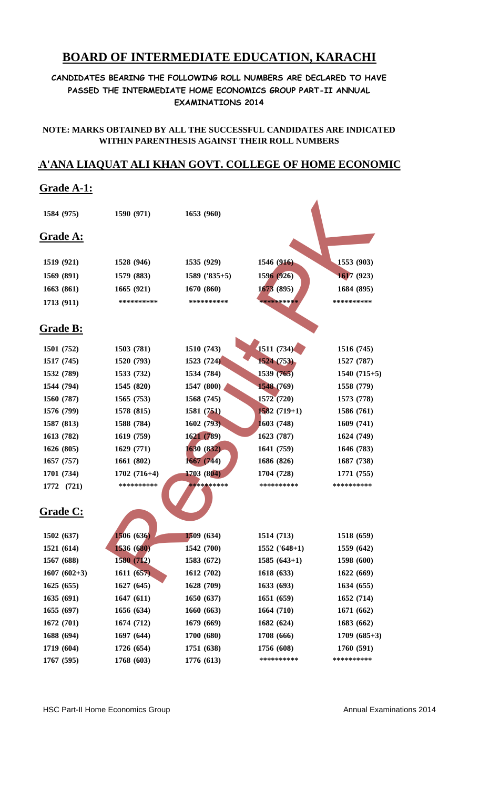# **BOARD OF INTERMEDIATE EDUCATION, KARACHI**

### **CANDIDATES BEARING THE FOLLOWING ROLL NUMBERS ARE DECLARED TO HAVE PASSED THE INTERMEDIATE HOME ECONOMICS GROUP PART-II ANNUAL EXAMINATIONS 2014**

#### **NOTE: MARKS OBTAINED BY ALL THE SUCCESSFUL CANDIDATES ARE INDICATED WITHIN PARENTHESIS AGAINST THEIR ROLL NUMBERS**

## **RA'ANA LIAQUAT ALI KHAN GOVT. COLLEGE OF HOME ECONOMIC**

## **Grade A-1:**

| 1584 (975)       | 1590 (971)    | 1653 (960)      |                 |               |
|------------------|---------------|-----------------|-----------------|---------------|
| <b>Grade A:</b>  |               |                 |                 |               |
|                  |               |                 |                 |               |
| 1519 (921)       | 1528 (946)    | 1535 (929)      | 1546 (916)      | 1553 (903)    |
| 1569 (891)       | 1579 (883)    | $1589$ ('835+5) | 1596 (926)      | 1617 (923)    |
| 1663(861)        | 1665 (921)    | 1670 (860)      | 1673 (895)      | 1684 (895)    |
| 1713 (911)       | **********    | **********      | **********      | **********    |
| <u> Grade B:</u> |               |                 |                 |               |
| 1501 (752)       | 1503 (781)    | 1510 (743)      | 1511 (734)      | 1516 (745)    |
| 1517 (745)       | 1520 (793)    | 1523 (724)      | 1524 (753)      | 1527 (787)    |
| 1532 (789)       | 1533 (732)    | 1534 (784)      | 1539(765)       | $1540(715+5)$ |
| 1544 (794)       | 1545 (820)    | 1547 (800)      | 1548 (769)      | 1558 (779)    |
| 1560 (787)       | 1565 (753)    | 1568 (745)      | 1572 (720)      | 1573 (778)    |
| 1576 (799)       | 1578 (815)    | 1581 (751)      | $1582(719+1)$   | 1586 (761)    |
| 1587 (813)       | 1588 (784)    | 1602(793)       | 1603 (748)      | 1609 (741)    |
| 1613 (782)       | 1619 (759)    | 1621 (789)      | 1623 (787)      | 1624 (749)    |
| 1626 (805)       | 1629 (771)    | 1630(832)       | 1641 (759)      | 1646 (783)    |
| 1657(757)        | 1661 (802)    | 1667 (744)      | 1686 (826)      | 1687 (738)    |
| 1701 (734)       | $1702(716+4)$ | 1703 (804)      | 1704 (728)      | 1771 (755)    |
| 1772 (721)       | **********    | **********      | **********      | **********    |
| <u>Grade C:</u>  |               |                 |                 |               |
| 1502 (637)       | 1506 (636)    | 1509 (634)      | 1514 (713)      | 1518 (659)    |
| 1521 (614)       | 1536 (680)    | 1542 (700)      | $1552$ ('648+1) | 1559 (642)    |
| 1567 (688)       | 1580 (712)    | 1583 (672)      | $1585(643+1)$   | 1598 (600)    |
| $1607(602+3)$    | 1611(657)     | 1612(702)       | 1618(633)       | 1622(669)     |
| 1625(655)        | 1627(645)     | 1628 (709)      | 1633 (693)      | 1634 (655)    |
| 1635(691)        | 1647(611)     | 1650 (637)      | 1651(659)       | 1652 (714)    |
| 1655(697)        | 1656 (634)    | 1660 (663)      | 1664 (710)      | 1671 (662)    |
| 1672(701)        | 1674 (712)    | 1679(669)       | 1682 (624)      | 1683 (662)    |
| 1688 (694)       | 1697 (644)    | 1700 (680)      | 1708 (666)      | $1709(685+3)$ |
| 1719 (604)       | 1726 (654)    | 1751 (638)      | 1756 (608)      | 1760 (591)    |
| 1767 (595)       | 1768 (603)    | 1776 (613)      | **********      | **********    |
|                  |               |                 |                 |               |